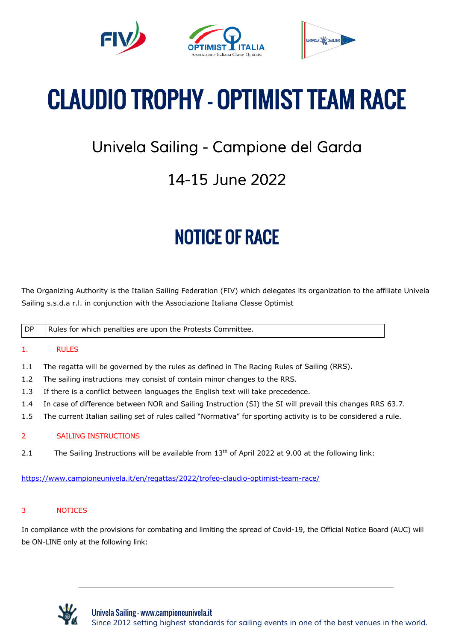



UNIVELY SAILING

# CLAUDIO TROPHY – OPTIMIST TEAM RACE

### Univela Sailing - Campione del Garda

### 14-15 June 2022

## NOTICE OF RACE

The Organizing Authority is the Italian Sailing Federation (FIV) which delegates its organization to the affiliate Univela Sailing s.s.d.a r.l. in conjunction with the Associazione Italiana Classe Optimist

DP Rules for which penalties are upon the Protests Committee.

### 1. RULES

- 1.1 The regatta will be governed by the rules as defined in The Racing Rules of Sailing (RRS).
- 1.2 The sailing instructions may consist of contain minor changes to the RRS.
- 1.3 If there is a conflict between languages the English text will take precedence.
- 1.4 In case of difference between NOR and Sailing Instruction (SI) the SI will prevail this changes RRS 63.7.
- 1.5 The current Italian sailing set of rules called "Normativa" for sporting activity is to be considered a rule.

#### 2 SAILING INSTRUCTIONS

2.1 The Sailing Instructions will be available from  $13<sup>th</sup>$  of April 2022 at 9.00 at the following link:

https://www.campioneunivela.it/en/regattas/2022/trofeo-claudio-optimist-team-race/

#### 3 NOTICES

In compliance with the provisions for combating and limiting the spread of Covid-19, the Official Notice Board (AUC) will be ON-LINE only at the following link:

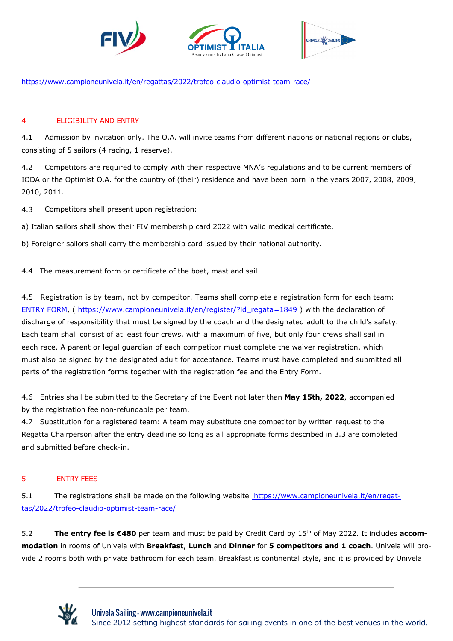

https://www.campioneunivela.it/en/regattas/2022/trofeo-claudio-optimist-team-race/

#### 4 ELIGIBILITY AND ENTRY

4.1 Admission by invitation only. The O.A. will invite teams from different nations or national regions or clubs, consisting of 5 sailors (4 racing, 1 reserve).

4.2 Competitors are required to comply with their respective MNA's regulations and to be current members of IODA or the Optimist O.A. for the country of (their) residence and have been born in the years 2007, 2008, 2009, 2010, 2011.

4.3 Competitors shall present upon registration:

a) Italian sailors shall show their FIV membership card 2022 with valid medical certificate.

b) Foreigner sailors shall carry the membership card issued by their national authority.

4.4 The measurement form or certificate of the boat, mast and sail

4.5 Registration is by team, not by competitor. Teams shall complete a registration form for each team: ENTRY FORM, ( https://www.campioneunivela.it/en/register/?id\_regata=1849 ) with the declaration of discharge of responsibility that must be signed by the coach and the designated adult to the child's safety. Each team shall consist of at least four crews, with a maximum of five, but only four crews shall sail in each race. A parent or legal guardian of each competitor must complete the waiver registration, which must also be signed by the designated adult for acceptance. Teams must have completed and submitted all parts of the registration forms together with the registration fee and the Entry Form.

4.6 Entries shall be submitted to the Secretary of the Event not later than **May 15th, 2022**, accompanied by the registration fee non-refundable per team.

4.7 Substitution for a registered team: A team may substitute one competitor by written request to the Regatta Chairperson after the entry deadline so long as all appropriate forms described in 3.3 are completed and submitted before check-in.

#### 5 ENTRY FEES

5.1 The registrations shall be made on the following website https://www.campioneunivela.it/en/regattas/2022/trofeo-claudio-optimist-team-race/

5.2 **The entry fee is €480** per team and must be paid by Credit Card by 15th of May 2022. It includes **accommodation** in rooms of Univela with **Breakfast**, **Lunch** and **Dinner** for **5 competitors and 1 coach**. Univela will provide 2 rooms both with private bathroom for each team. Breakfast is continental style, and it is provided by Univela

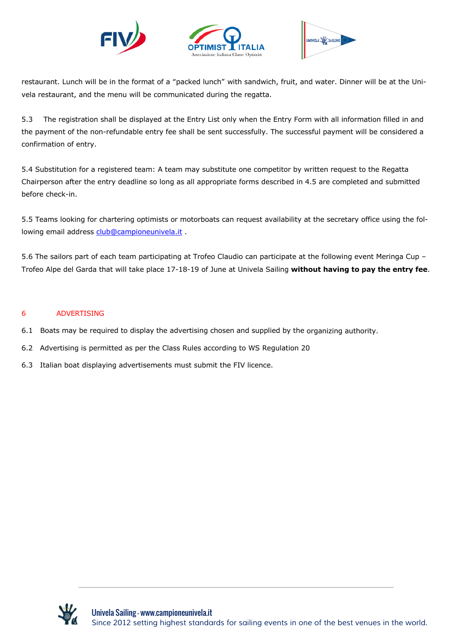





restaurant. Lunch will be in the format of a "packed lunch" with sandwich, fruit, and water. Dinner will be at the Univela restaurant, and the menu will be communicated during the regatta.

5.3 The registration shall be displayed at the Entry List only when the Entry Form with all information filled in and the payment of the non-refundable entry fee shall be sent successfully. The successful payment will be considered a confirmation of entry.

5.4 Substitution for a registered team: A team may substitute one competitor by written request to the Regatta Chairperson after the entry deadline so long as all appropriate forms described in 4.5 are completed and submitted before check-in.

5.5 Teams looking for chartering optimists or motorboats can request availability at the secretary office using the following email address club@campioneunivela.it .

5.6 The sailors part of each team participating at Trofeo Claudio can participate at the following event Meringa Cup – Trofeo Alpe del Garda that will take place 17-18-19 of June at Univela Sailing **without having to pay the entry fee**.

#### 6 ADVERTISING

- 6.1 Boats may be required to display the advertising chosen and supplied by the organizing authority.
- 6.2 Advertising is permitted as per the Class Rules according to WS Regulation 20
- 6.3 Italian boat displaying advertisements must submit the FIV licence.

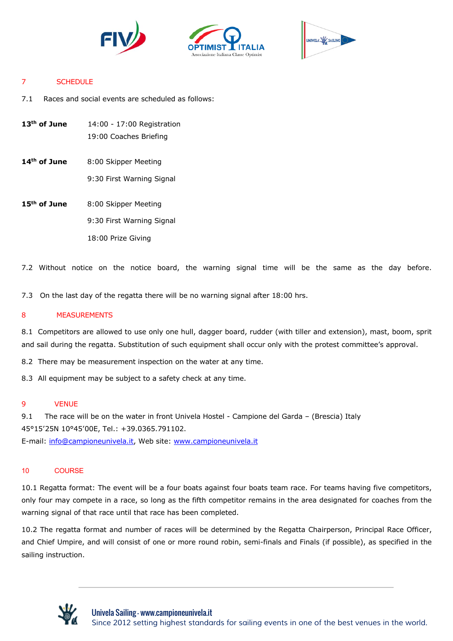





#### 7 SCHEDULE

7.1 Races and social events are scheduled as follows:

- **13th of June** 14:00 17:00 Registration 19:00 Coaches Briefing
- 14<sup>th</sup> of June 8:00 Skipper Meeting 9:30 First Warning Signal
- 15<sup>th</sup> of June 8:00 Skipper Meeting 9:30 First Warning Signal 18:00 Prize Giving

7.2 Without notice on the notice board, the warning signal time will be the same as the day before.

7.3 On the last day of the regatta there will be no warning signal after 18:00 hrs.

#### 8 MEASUREMENTS

8.1 Competitors are allowed to use only one hull, dagger board, rudder (with tiller and extension), mast, boom, sprit and sail during the regatta. Substitution of such equipment shall occur only with the protest committee's approval.

8.2 There may be measurement inspection on the water at any time.

8.3 All equipment may be subject to a safety check at any time.

#### 9 VENUE

9.1 The race will be on the water in front Univela Hostel - Campione del Garda – (Brescia) Italy 45°15'25N 10°45'00E, Tel.: +39.0365.791102. E-mail: info@campioneunivela.it, Web site: www.campioneunivela.it

#### 10 COURSE

10.1 Regatta format: The event will be a four boats against four boats team race. For teams having five competitors, only four may compete in a race, so long as the fifth competitor remains in the area designated for coaches from the warning signal of that race until that race has been completed.

10.2 The regatta format and number of races will be determined by the Regatta Chairperson, Principal Race Officer, and Chief Umpire, and will consist of one or more round robin, semi-finals and Finals (if possible), as specified in the sailing instruction.

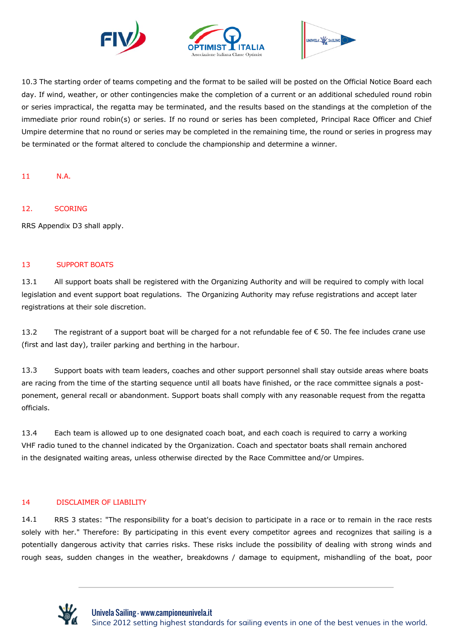



10.3 The starting order of teams competing and the format to be sailed will be posted on the Official Notice Board each day. If wind, weather, or other contingencies make the completion of a current or an additional scheduled round robin or series impractical, the regatta may be terminated, and the results based on the standings at the completion of the immediate prior round robin(s) or series. If no round or series has been completed, Principal Race Officer and Chief Umpire determine that no round or series may be completed in the remaining time, the round or series in progress may be terminated or the format altered to conclude the championship and determine a winner.

11 N.A.

#### 12. SCORING

RRS Appendix D3 shall apply.

#### 13 SUPPORT BOATS

13.1 All support boats shall be registered with the Organizing Authority and will be required to comply with local legislation and event support boat regulations. The Organizing Authority may refuse registrations and accept later registrations at their sole discretion.

13.2 The registrant of a support boat will be charged for a not refundable fee of  $\epsilon$  50. The fee includes crane use (first and last day), trailer parking and berthing in the harbour.

13.3 Support boats with team leaders, coaches and other support personnel shall stay outside areas where boats are racing from the time of the starting sequence until all boats have finished, or the race committee signals a postponement, general recall or abandonment. Support boats shall comply with any reasonable request from the regatta officials.

13.4 Each team is allowed up to one designated coach boat, and each coach is required to carry a working VHF radio tuned to the channel indicated by the Organization. Coach and spectator boats shall remain anchored in the designated waiting areas, unless otherwise directed by the Race Committee and/or Umpires.

#### 14 DISCLAIMER OF LIABILITY

14.1 RRS 3 states: "The responsibility for a boat's decision to participate in a race or to remain in the race rests solely with her." Therefore: By participating in this event every competitor agrees and recognizes that sailing is a potentially dangerous activity that carries risks. These risks include the possibility of dealing with strong winds and rough seas, sudden changes in the weather, breakdowns / damage to equipment, mishandling of the boat, poor

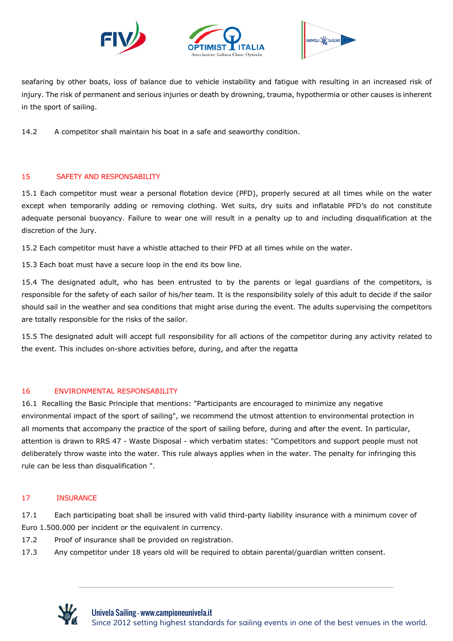





seafaring by other boats, loss of balance due to vehicle instability and fatigue with resulting in an increased risk of injury. The risk of permanent and serious injuries or death by drowning, trauma, hypothermia or other causes is inherent in the sport of sailing.

14.2 A competitor shall maintain his boat in a safe and seaworthy condition.

#### 15 SAFETY AND RESPONSABILITY

15.1 Each competitor must wear a personal flotation device (PFD), properly secured at all times while on the water except when temporarily adding or removing clothing. Wet suits, dry suits and inflatable PFD's do not constitute adequate personal buoyancy. Failure to wear one will result in a penalty up to and including disqualification at the discretion of the Jury.

15.2 Each competitor must have a whistle attached to their PFD at all times while on the water.

15.3 Each boat must have a secure loop in the end its bow line.

15.4 The designated adult, who has been entrusted to by the parents or legal guardians of the competitors, is responsible for the safety of each sailor of his/her team. It is the responsibility solely of this adult to decide if the sailor should sail in the weather and sea conditions that might arise during the event. The adults supervising the competitors are totally responsible for the risks of the sailor.

15.5 The designated adult will accept full responsibility for all actions of the competitor during any activity related to the event. This includes on-shore activities before, during, and after the regatta

#### 16 ENVIRONMENTAL RESPONSABILITY

16.1 Recalling the Basic Principle that mentions: "Participants are encouraged to minimize any negative environmental impact of the sport of sailing", we recommend the utmost attention to environmental protection in all moments that accompany the practice of the sport of sailing before, during and after the event. In particular, attention is drawn to RRS 47 - Waste Disposal - which verbatim states: "Competitors and support people must not deliberately throw waste into the water. This rule always applies when in the water. The penalty for infringing this rule can be less than disqualification ".

#### 17 INSURANCE

17.1 Each participating boat shall be insured with valid third-party liability insurance with a minimum cover of Euro 1.500.000 per incident or the equivalent in currency.

17.2 Proof of insurance shall be provided on registration.

17.3 Any competitor under 18 years old will be required to obtain parental/guardian written consent.

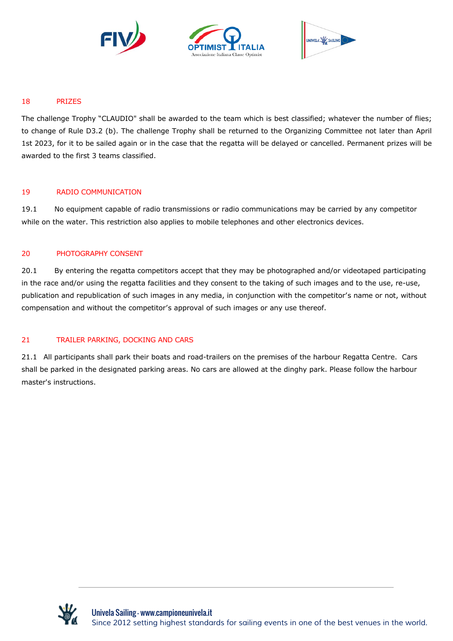





#### 18 PRIZES

The challenge Trophy "CLAUDIO" shall be awarded to the team which is best classified; whatever the number of flies; to change of Rule D3.2 (b). The challenge Trophy shall be returned to the Organizing Committee not later than April 1st 2023, for it to be sailed again or in the case that the regatta will be delayed or cancelled. Permanent prizes will be awarded to the first 3 teams classified.

#### 19 RADIO COMMUNICATION

19.1 No equipment capable of radio transmissions or radio communications may be carried by any competitor while on the water. This restriction also applies to mobile telephones and other electronics devices.

#### 20 PHOTOGRAPHY CONSENT

20.1 By entering the regatta competitors accept that they may be photographed and/or videotaped participating in the race and/or using the regatta facilities and they consent to the taking of such images and to the use, re-use, publication and republication of such images in any media, in conjunction with the competitor's name or not, without compensation and without the competitor's approval of such images or any use thereof.

#### 21 TRAILER PARKING, DOCKING AND CARS

21.1 All participants shall park their boats and road-trailers on the premises of the harbour Regatta Centre. Cars shall be parked in the designated parking areas. No cars are allowed at the dinghy park. Please follow the harbour master's instructions.

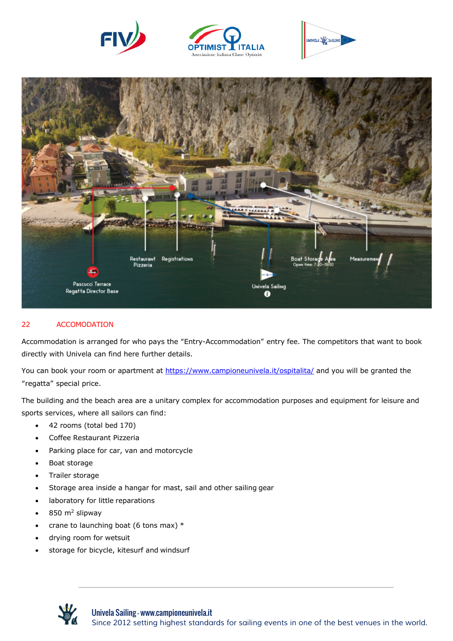







#### 22 ACCOMODATION

Accommodation is arranged for who pays the "Entry-Accommodation" entry fee. The competitors that want to book directly with Univela can find here further details.

You can book your room or apartment at https://www.campioneunivela.it/ospitalita/ and you will be granted the "regatta" special price.

The building and the beach area are a unitary complex for accommodation purposes and equipment for leisure and sports services, where all sailors can find:

- 42 rooms (total bed 170)
- Coffee Restaurant Pizzeria
- Parking place for car, van and motorcycle
- Boat storage
- Trailer storage
- Storage area inside a hangar for mast, sail and other sailing gear
- laboratory for little reparations
- 850 m2 slipway
- crane to launching boat (6 tons max)  $*$
- drying room for wetsuit
- storage for bicycle, kitesurf and windsurf